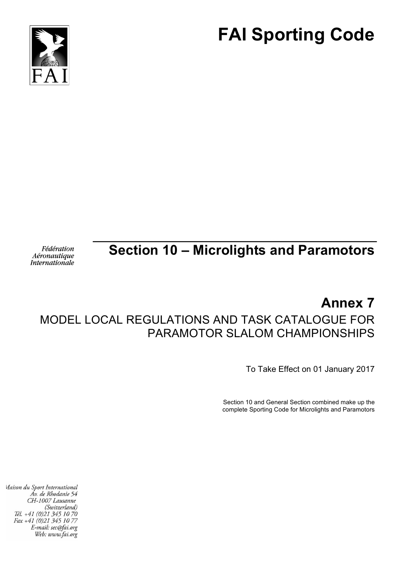



# **Section 10 – Microlights and Paramotors**

Fédération Aéronautique **Internationale** 

## **Annex 7** MODEL LOCAL REGULATIONS AND TASK CATALOGUE FOR PARAMOTOR SLALOM CHAMPIONSHIPS

To Take Effect on 01 January 2017

Section 10 and General Section combined make up the complete Sporting Code for Microlights and Paramotors

Maison du Sport International Áv. de Rhodanie 54 CH-1007 Lausanne (Switzerland) Tél. +41 (0)21 345 10 70 Fax +41 (0)21 345 10 77 E-mail: sec@fai.org Web: www.fai.org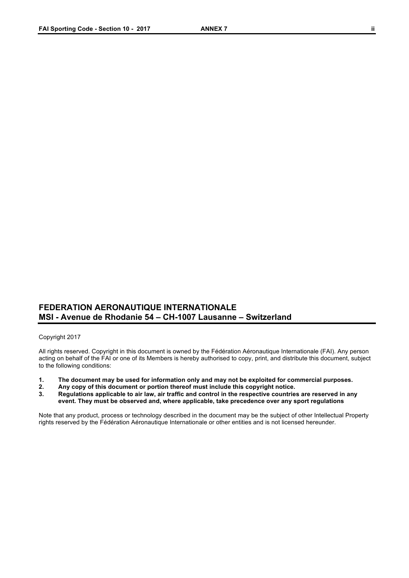#### **FEDERATION AERONAUTIQUE INTERNATIONALE MSI - Avenue de Rhodanie 54 – CH-1007 Lausanne – Switzerland**

#### Copyright 2017

All rights reserved. Copyright in this document is owned by the Fédération Aéronautique Internationale (FAI). Any person acting on behalf of the FAI or one of its Members is hereby authorised to copy, print, and distribute this document, subject to the following conditions:

- **1. The document may be used for information only and may not be exploited for commercial purposes.**
- **2. Any copy of this document or portion thereof must include this copyright notice.**
- **3. Regulations applicable to air law, air traffic and control in the respective countries are reserved in any event. They must be observed and, where applicable, take precedence over any sport regulations**

Note that any product, process or technology described in the document may be the subject of other Intellectual Property rights reserved by the Fédération Aéronautique Internationale or other entities and is not licensed hereunder.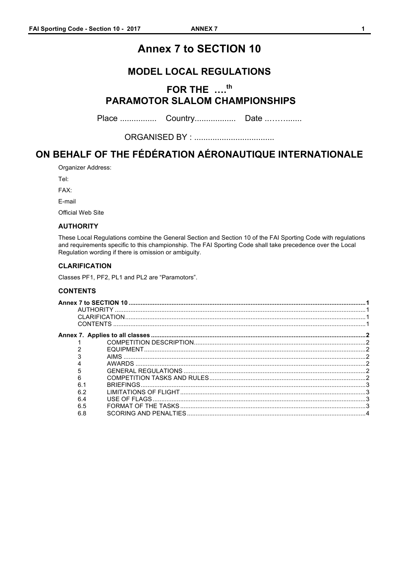## **Annex 7 to SECTION 10**

### **MODEL LOCAL REGULATIONS**

## FOR THE ....<sup>th</sup> **PARAMOTOR SLALOM CHAMPIONSHIPS**

### ON BEHALF OF THE FÉDÉRATION AÉRONAUTIQUE INTERNATIONALE

Organizer Address:

Tel:

FAX:

E-mail

**Official Web Site** 

#### **AUTHORITY**

These Local Regulations combine the General Section and Section 10 of the FAI Sporting Code with regulations and requirements specific to this championship. The FAI Sporting Code shall take precedence over the Local Regulation wording if there is omission or ambiguity.

#### **CLARIFICATION**

Classes PF1, PF2, PL1 and PL2 are "Paramotors".

#### **CONTENTS**

| 5   |  |
|-----|--|
| 6   |  |
| 6.1 |  |
| 6.2 |  |
| 6.4 |  |
| 6.5 |  |
| 6.8 |  |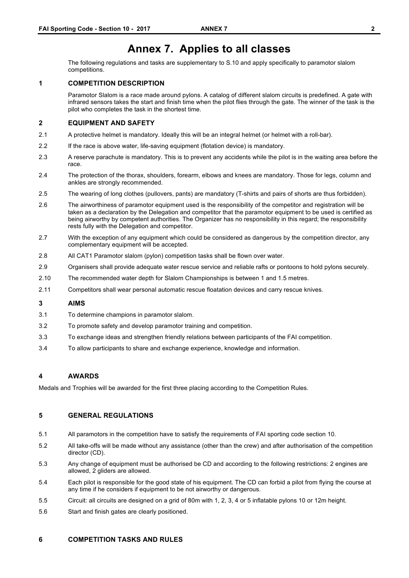## **Annex 7. Applies to all classes**

The following regulations and tasks are supplementary to S.10 and apply specifically to paramotor slalom competitions.

#### **1 COMPETITION DESCRIPTION**

Paramotor Slalom is a race made around pylons. A catalog of different slalom circuits is predefined. A gate with infrared sensors takes the start and finish time when the pilot flies through the gate. The winner of the task is the pilot who completes the task in the shortest time.

#### **2 EQUIPMENT AND SAFETY**

- 2.1 A protective helmet is mandatory. Ideally this will be an integral helmet (or helmet with a roll-bar).
- 2.2 If the race is above water, life-saving equipment (flotation device) is mandatory.
- 2.3 A reserve parachute is mandatory. This is to prevent any accidents while the pilot is in the waiting area before the race.
- 2.4 The protection of the thorax, shoulders, forearm, elbows and knees are mandatory. Those for legs, column and ankles are strongly recommended.
- 2.5 The wearing of long clothes (pullovers, pants) are mandatory (T-shirts and pairs of shorts are thus forbidden).
- 2.6 The airworthiness of paramotor equipment used is the responsibility of the competitor and registration will be taken as a declaration by the Delegation and competitor that the paramotor equipment to be used is certified as being airworthy by competent authorities. The Organizer has no responsibility in this regard; the responsibility rests fully with the Delegation and competitor.
- 2.7 With the exception of any equipment which could be considered as dangerous by the competition director, any complementary equipment will be accepted.
- 2.8 All CAT1 Paramotor slalom (pylon) competition tasks shall be flown over water.
- 2.9 Organisers shall provide adequate water rescue service and reliable rafts or pontoons to hold pylons securely.
- 2.10 The recommended water depth for Slalom Championships is between 1 and 1.5 metres.
- 2.11 Competitors shall wear personal automatic rescue floatation devices and carry rescue knives.

#### **3 AIMS**

- 3.1 To determine champions in paramotor slalom.
- 3.2 To promote safety and develop paramotor training and competition.
- 3.3 To exchange ideas and strengthen friendly relations between participants of the FAI competition.
- 3.4 To allow participants to share and exchange experience, knowledge and information.

#### **4 AWARDS**

Medals and Trophies will be awarded for the first three placing according to the Competition Rules.

#### **5 GENERAL REGULATIONS**

- 5.1 All paramotors in the competition have to satisfy the requirements of FAI sporting code section 10.
- 5.2 All take-offs will be made without any assistance (other than the crew) and after authorisation of the competition director (CD).
- 5.3 Any change of equipment must be authorised be CD and according to the following restrictions: 2 engines are allowed, 2 gliders are allowed.
- 5.4 Each pilot is responsible for the good state of his equipment. The CD can forbid a pilot from flying the course at any time if he considers if equipment to be not airworthy or dangerous.
- 5.5 Circuit: all circuits are designed on a grid of 80m with 1, 2, 3, 4 or 5 inflatable pylons 10 or 12m height.
- 5.6 Start and finish gates are clearly positioned.

#### **6 COMPETITION TASKS AND RULES**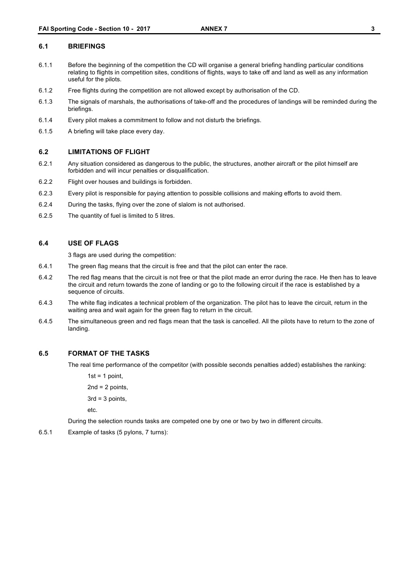#### **6.1 BRIEFINGS**

- 6.1.1 Before the beginning of the competition the CD will organise a general briefing handling particular conditions relating to flights in competition sites, conditions of flights, ways to take off and land as well as any information useful for the pilots.
- 6.1.2 Free flights during the competition are not allowed except by authorisation of the CD.
- 6.1.3 The signals of marshals, the authorisations of take-off and the procedures of landings will be reminded during the briefings.
- 6.1.4 Every pilot makes a commitment to follow and not disturb the briefings.
- 6.1.5 A briefing will take place every day.

#### **6.2 LIMITATIONS OF FLIGHT**

- 6.2.1 Any situation considered as dangerous to the public, the structures, another aircraft or the pilot himself are forbidden and will incur penalties or disqualification.
- 6.2.2 Flight over houses and buildings is forbidden.
- 6.2.3 Every pilot is responsible for paying attention to possible collisions and making efforts to avoid them.
- 6.2.4 During the tasks, flying over the zone of slalom is not authorised.
- 6.2.5 The quantity of fuel is limited to 5 litres.

#### **6.4 USE OF FLAGS**

3 flags are used during the competition:

- 6.4.1 The green flag means that the circuit is free and that the pilot can enter the race.
- 6.4.2 The red flag means that the circuit is not free or that the pilot made an error during the race. He then has to leave the circuit and return towards the zone of landing or go to the following circuit if the race is established by a sequence of circuits.
- 6.4.3 The white flag indicates a technical problem of the organization. The pilot has to leave the circuit, return in the waiting area and wait again for the green flag to return in the circuit.
- 6.4.5 The simultaneous green and red flags mean that the task is cancelled. All the pilots have to return to the zone of landing.

#### **6.5 FORMAT OF THE TASKS**

The real time performance of the competitor (with possible seconds penalties added) establishes the ranking:

 $1st = 1$  point,  $2nd = 2$  points,  $3rd = 3$  points,

etc.

During the selection rounds tasks are competed one by one or two by two in different circuits.

6.5.1 Example of tasks (5 pylons, 7 turns):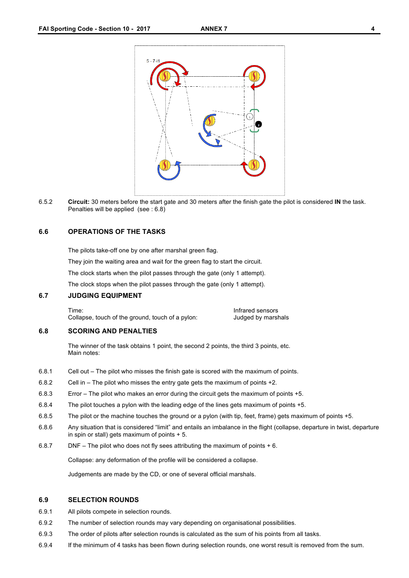

6.5.2 **Circuit:** 30 meters before the start gate and 30 meters after the finish gate the pilot is considered **IN** the task. Penalties will be applied (see : 6.8)

#### **6.6 OPERATIONS OF THE TASKS**

The pilots take-off one by one after marshal green flag.

They join the waiting area and wait for the green flag to start the circuit.

The clock starts when the pilot passes through the gate (only 1 attempt).

The clock stops when the pilot passes through the gate (only 1 attempt).

#### **6.7 JUDGING EQUIPMENT**

Collapse, touch of the ground, touch of a pylon: Judged by marshals

Time: Infrared sensors

#### **6.8 SCORING AND PENALTIES**

The winner of the task obtains 1 point, the second 2 points, the third 3 points, etc. Main notes:

- 6.8.1 Cell out The pilot who misses the finish gate is scored with the maximum of points.
- 6.8.2 Cell in The pilot who misses the entry gate gets the maximum of points +2.
- 6.8.3 Error The pilot who makes an error during the circuit gets the maximum of points +5.
- 6.8.4 The pilot touches a pylon with the leading edge of the lines gets maximum of points +5.
- 6.8.5 The pilot or the machine touches the ground or a pylon (with tip, feet, frame) gets maximum of points +5.
- 6.8.6 Any situation that is considered "limit" and entails an imbalance in the flight (collapse, departure in twist, departure in spin or stall) gets maximum of points + 5.
- 6.8.7 DNF The pilot who does not fly sees attributing the maximum of points + 6.

Collapse: any deformation of the profile will be considered a collapse.

Judgements are made by the CD, or one of several official marshals.

#### **6.9 SELECTION ROUNDS**

- 6.9.1 All pilots compete in selection rounds.
- 6.9.2 The number of selection rounds may vary depending on organisational possibilities.
- 6.9.3 The order of pilots after selection rounds is calculated as the sum of his points from all tasks.
- 6.9.4 If the minimum of 4 tasks has been flown during selection rounds, one worst result is removed from the sum.